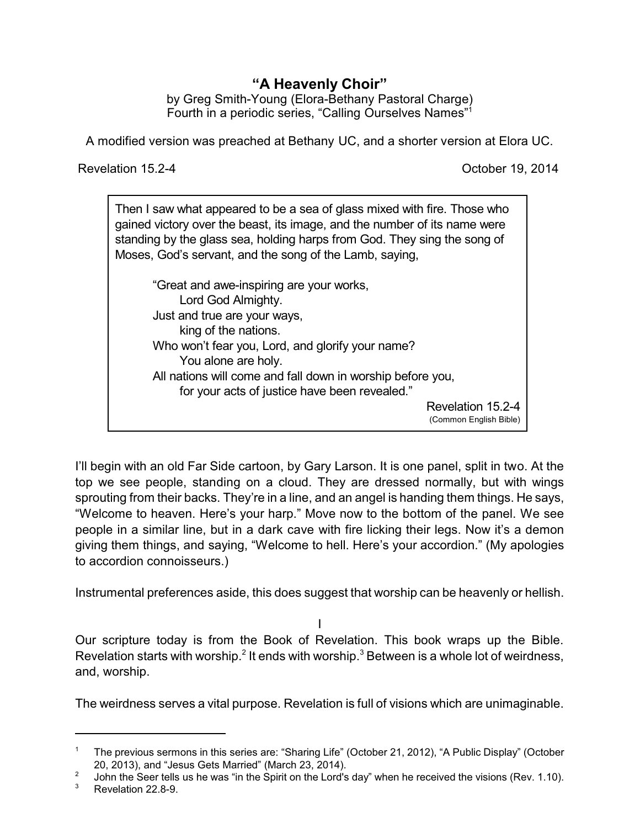## **"A Heavenly Choir"**

by Greg Smith-Young (Elora-Bethany Pastoral Charge) Fourth in a periodic series, "Calling Ourselves Names"<sup>1</sup>

A modified version was preached at Bethany UC, and a shorter version at Elora UC.

Revelation 15.2-4 Contract Contract Contract Contract Contract Contract Contract Contract Contract Contract Contract Contract Contract Contract Contract Contract Contract Contract Contract Contract Contract Contract Contra

Then I saw what appeared to be a sea of glass mixed with fire. Those who gained victory over the beast, its image, and the number of its name were standing by the glass sea, holding harps from God. They sing the song of Moses, God's servant, and the song of the Lamb, saying, "Great and awe-inspiring are your works, Lord God Almighty. Just and true are your ways, king of the nations. Who won't fear you, Lord, and glorify your name? You alone are holy. All nations will come and fall down in worship before you, for your acts of justice have been revealed." Revelation 15.2-4 (Common English Bible)

I'll begin with an old Far Side cartoon, by Gary Larson. It is one panel, split in two. At the top we see people, standing on a cloud. They are dressed normally, but with wings sprouting from their backs. They're in a line, and an angel is handing them things. He says, "Welcome to heaven. Here's your harp." Move now to the bottom of the panel. We see people in a similar line, but in a dark cave with fire licking their legs. Now it's a demon giving them things, and saying, "Welcome to hell. Here's your accordion." (My apologies to accordion connoisseurs.)

Instrumental preferences aside, this does suggest that worship can be heavenly or hellish.

I

Our scripture today is from the Book of Revelation. This book wraps up the Bible. Revelation starts with worship.<sup>2</sup> It ends with worship.<sup>3</sup> Between is a whole lot of weirdness, and, worship.

The weirdness serves a vital purpose. Revelation is full of visions which are unimaginable.

<sup>1</sup> The previous sermons in this series are: "Sharing Life" (October 21, 2012), "A Public Display" (October 20, 2013), and "Jesus Gets Married" (March 23, 2014).

<sup>2</sup> John the Seer tells us he was "in the Spirit on the Lord's day" when he received the visions (Rev. 1.10).

<sup>&</sup>lt;sup>3</sup> Revelation 22.8-9.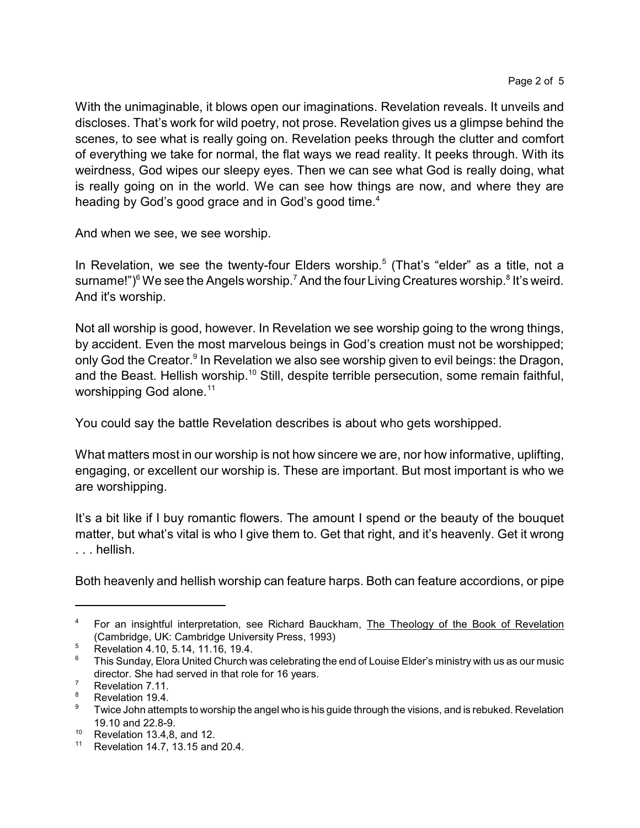With the unimaginable, it blows open our imaginations. Revelation reveals. It unveils and discloses. That's work for wild poetry, not prose. Revelation gives us a glimpse behind the scenes, to see what is really going on. Revelation peeks through the clutter and comfort of everything we take for normal, the flat ways we read reality. It peeks through. With its weirdness, God wipes our sleepy eyes. Then we can see what God is really doing, what is really going on in the world. We can see how things are now, and where they are heading by God's good grace and in God's good time.<sup>4</sup>

And when we see, we see worship.

In Revelation, we see the twenty-four Elders worship.<sup>5</sup> (That's "elder" as a title, not a surname!") $^6$  We see the Angels worship.<sup>7</sup> And the four Living Creatures worship. $^8$  It's weird. And it's worship.

Not all worship is good, however. In Revelation we see worship going to the wrong things, by accident. Even the most marvelous beings in God's creation must not be worshipped; only God the Creator.<sup>9</sup> In Revelation we also see worship given to evil beings: the Dragon, and the Beast. Hellish worship.<sup>10</sup> Still, despite terrible persecution, some remain faithful, worshipping God alone.<sup>11</sup>

You could say the battle Revelation describes is about who gets worshipped.

What matters most in our worship is not how sincere we are, nor how informative, uplifting, engaging, or excellent our worship is. These are important. But most important is who we are worshipping.

It's a bit like if I buy romantic flowers. The amount I spend or the beauty of the bouquet matter, but what's vital is who I give them to. Get that right, and it's heavenly. Get it wrong . . . hellish.

Both heavenly and hellish worship can feature harps. Both can feature accordions, or pipe

<sup>4</sup> For an insightful interpretation, see Richard Bauckham, The Theology of the Book of Revelation (Cambridge, UK: Cambridge University Press, 1993)

 $5$  Revelation 4.10, 5.14, 11.16, 19.4.

This Sunday, Elora United Church was celebrating the end of Louise Elder's ministry with us as our music director. She had served in that role for 16 years.

 $7^7$  Revelation 7.11.

 $\degree$  Revelation 19.4.<br> $\degree$  Twice John attem

Twice John attempts to worship the angel who is his guide through the visions, and is rebuked. Revelation 19.10 and 22.8-9.

 $10$  Revelation 13.4,8, and 12.

<sup>11</sup> Revelation 14.7, 13.15 and 20.4.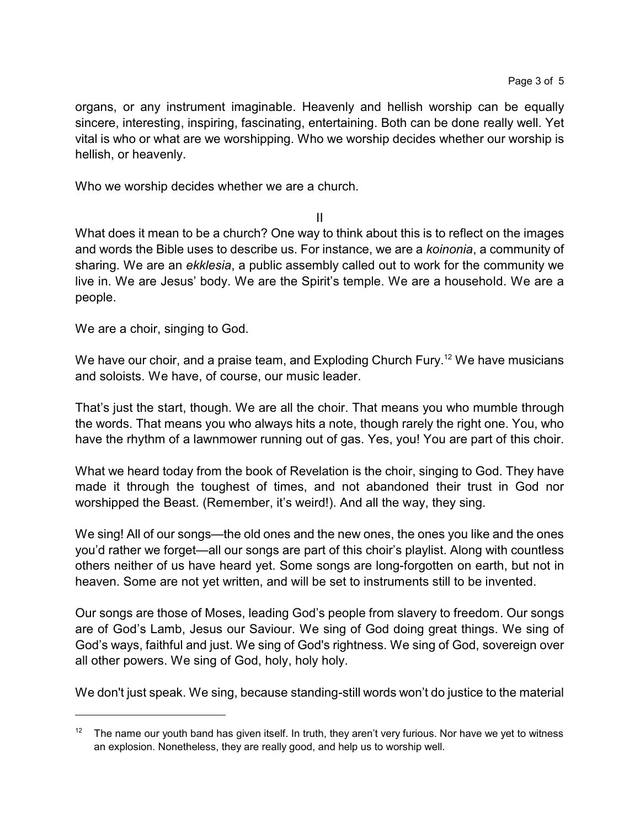organs, or any instrument imaginable. Heavenly and hellish worship can be equally sincere, interesting, inspiring, fascinating, entertaining. Both can be done really well. Yet vital is who or what are we worshipping. Who we worship decides whether our worship is hellish, or heavenly.

Who we worship decides whether we are a church.

II

What does it mean to be a church? One way to think about this is to reflect on the images and words the Bible uses to describe us. For instance, we are a *koinonia*, a community of sharing. We are an *ekklesia*, a public assembly called out to work for the community we live in. We are Jesus' body. We are the Spirit's temple. We are a household. We are a people.

We are a choir, singing to God.

We have our choir, and a praise team, and Exploding Church Fury.<sup>12</sup> We have musicians and soloists. We have, of course, our music leader.

That's just the start, though. We are all the choir. That means you who mumble through the words. That means you who always hits a note, though rarely the right one. You, who have the rhythm of a lawnmower running out of gas. Yes, you! You are part of this choir.

What we heard today from the book of Revelation is the choir, singing to God. They have made it through the toughest of times, and not abandoned their trust in God nor worshipped the Beast. (Remember, it's weird!). And all the way, they sing.

We sing! All of our songs—the old ones and the new ones, the ones you like and the ones you'd rather we forget—all our songs are part of this choir's playlist. Along with countless others neither of us have heard yet. Some songs are long-forgotten on earth, but not in heaven. Some are not yet written, and will be set to instruments still to be invented.

Our songs are those of Moses, leading God's people from slavery to freedom. Our songs are of God's Lamb, Jesus our Saviour. We sing of God doing great things. We sing of God's ways, faithful and just. We sing of God's rightness. We sing of God, sovereign over all other powers. We sing of God, holy, holy holy.

We don't just speak. We sing, because standing-still words won't do justice to the material

 $12$  The name our youth band has given itself. In truth, they aren't very furious. Nor have we yet to witness an explosion. Nonetheless, they are really good, and help us to worship well.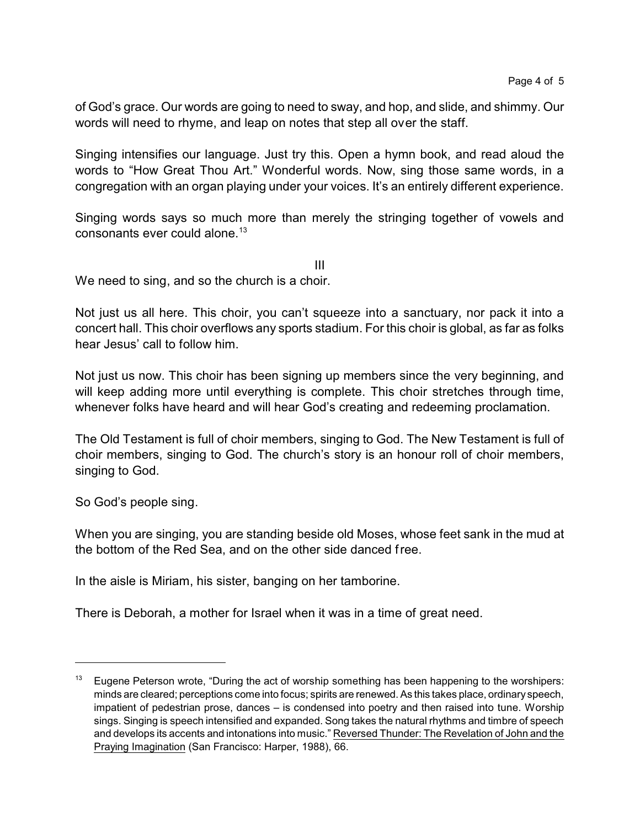of God's grace. Our words are going to need to sway, and hop, and slide, and shimmy. Our words will need to rhyme, and leap on notes that step all over the staff.

Singing intensifies our language. Just try this. Open a hymn book, and read aloud the words to "How Great Thou Art." Wonderful words. Now, sing those same words, in a congregation with an organ playing under your voices. It's an entirely different experience.

Singing words says so much more than merely the stringing together of vowels and consonants ever could alone. $13$ 

III

We need to sing, and so the church is a choir.

Not just us all here. This choir, you can't squeeze into a sanctuary, nor pack it into a concert hall. This choir overflows any sports stadium. For this choir is global, as far as folks hear Jesus' call to follow him.

Not just us now. This choir has been signing up members since the very beginning, and will keep adding more until everything is complete. This choir stretches through time, whenever folks have heard and will hear God's creating and redeeming proclamation.

The Old Testament is full of choir members, singing to God. The New Testament is full of choir members, singing to God. The church's story is an honour roll of choir members, singing to God.

So God's people sing.

When you are singing, you are standing beside old Moses, whose feet sank in the mud at the bottom of the Red Sea, and on the other side danced free.

In the aisle is Miriam, his sister, banging on her tamborine.

There is Deborah, a mother for Israel when it was in a time of great need.

 $13$  Eugene Peterson wrote, "During the act of worship something has been happening to the worshipers: minds are cleared; perceptions come into focus; spirits are renewed. As this takes place, ordinary speech, impatient of pedestrian prose, dances – is condensed into poetry and then raised into tune. Worship sings. Singing is speech intensified and expanded. Song takes the natural rhythms and timbre of speech and develops its accents and intonations into music." Reversed Thunder: The Revelation of John and the Praying Imagination (San Francisco: Harper, 1988), 66.